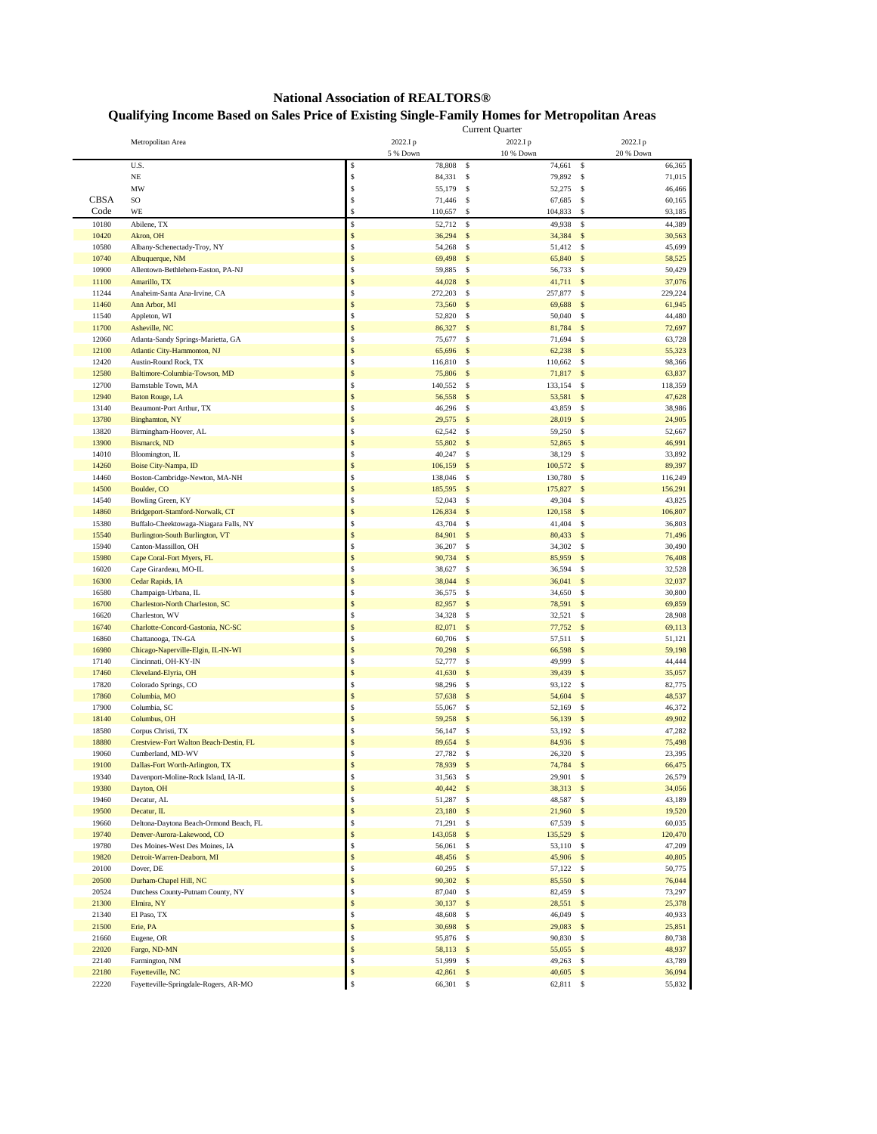## **National Association of REALTORS® Qualifying Income Based on Sales Price of Existing Single-Family Homes for Metropolitan Areas**

|             |                                        | <b>Current Quarter</b> |                             |                         |
|-------------|----------------------------------------|------------------------|-----------------------------|-------------------------|
|             | Metropolitan Area                      | 2022.Ip                | 2022.Ip                     | 2022.I p                |
|             |                                        | 5 % Down               | 10 % Down                   | 20 % Down               |
|             | U.S.                                   | \$<br>78,808           | \$<br>74,661                | $\mathbf{s}$<br>66,365  |
|             | $_{\rm NE}$                            | \$<br>84,331           | \$<br>79,892 \$             | 71,015                  |
|             | MW                                     | \$<br>55,179           | \$<br>52,275 \$             | 46,466                  |
| <b>CBSA</b> | SO                                     | \$<br>71,446           | 67,685<br>\$                | \$<br>60,165            |
| Code        | WE                                     | \$<br>110,657          | \$<br>104,833               | \$<br>93,185            |
| 10180       | Abilene, TX                            | \$<br>52,712           | \$<br>49,938                | \$<br>44,389            |
| 10420       | Akron, OH                              | \$<br>36,294           | $\mathsf{s}$<br>34,384      | \$<br>30,563            |
| 10580       | Albany-Schenectady-Troy, NY            | \$<br>54,268           | \$<br>51,412 \$             | 45,699                  |
| 10740       | Albuquerque, NM                        | \$<br>69,498           | $\mathbb{S}$<br>65,840      | $\mathbb{S}$<br>58,525  |
| 10900       | Allentown-Bethlehem-Easton, PA-NJ      | \$<br>59,885           | $\mathbf{s}$<br>56,733 \$   | 50,429                  |
| 11100       | Amarillo, TX                           | \$<br>44,028           | $\mathsf{s}$<br>41,711 \$   | 37,076                  |
| 11244       | Anaheim-Santa Ana-Irvine, CA           | \$<br>272,203          | \$<br>257,877               | \$<br>229,224           |
| 11460       | Ann Arbor, MI                          | \$<br>73,560           | $\mathsf{s}$<br>69,688      | $\mathbb{S}$<br>61,945  |
| 11540       | Appleton, WI                           | \$<br>52,820           | \$<br>50,040                | \$<br>44,480            |
| 11700       | Asheville, NC                          | \$<br>86,327           | $\mathbb{S}$<br>81,784      | \$<br>72,697            |
| 12060       | Atlanta-Sandy Springs-Marietta, GA     | \$<br>75,677           | \$<br>71,694 \$             | 63,728                  |
| 12100       | Atlantic City-Hammonton, NJ            | \$<br>65,696           | $\mathsf{s}$<br>62,238      | \$<br>55,323            |
| 12420       | Austin-Round Rock, TX                  | \$<br>116,810          | \$<br>110,662               | \$<br>98,366            |
| 12580       | Baltimore-Columbia-Towson, MD          | \$<br>75,806           | $\mathsf{s}$<br>71,817      | $\mathbb{S}$<br>63,837  |
| 12700       | Barnstable Town, MA                    | \$<br>140,552 \$       | 133,154                     | \$<br>118,359           |
| 12940       | <b>Baton Rouge, LA</b>                 | \$<br>56,558           | $\mathbb{S}$<br>53,581      | $\mathbb{S}$<br>47,628  |
| 13140       | Beaumont-Port Arthur, TX               | \$<br>46,296           | \$<br>43,859                | \$<br>38,986            |
| 13780       | <b>Binghamton</b> , NY                 | \$<br>29,575 \$        | 28,019                      | \$<br>24,905            |
| 13820       | Birmingham-Hoover, AL                  | \$<br>62,542           | \$<br>59,250                | \$<br>52,667            |
| 13900       | Bismarck, ND                           | \$<br>55,802 \$        | 52,865                      | \$<br>46,991            |
| 14010       | Bloomington, IL                        | \$<br>40,247 \$        | 38,129 \$                   | 33,892                  |
| 14260       | Boise City-Nampa, ID                   | \$<br>106,159          | $\mathsf{s}$<br>100,572     | 89,397<br>$\mathbb{S}$  |
| 14460       | Boston-Cambridge-Newton, MA-NH         | \$<br>138,046          | $\mathbf{s}$<br>130,780     | $\mathbf{s}$<br>116,249 |
| 14500       | Boulder, CO                            | \$                     |                             | 156,291                 |
| 14540       |                                        | 185,595 \$<br>\$       | 175,827 \$<br>\$<br>49,304  | \$<br>43,825            |
|             | Bowling Green, KY                      | 52,043                 |                             |                         |
| 14860       | Bridgeport-Stamford-Norwalk, CT        | \$<br>126,834          | $\mathbb{S}$<br>120,158     | $\mathbb{S}$<br>106,807 |
| 15380       | Buffalo-Cheektowaga-Niagara Falls, NY  | \$<br>43,704 \$        | 41,404                      | \$<br>36,803            |
| 15540       | Burlington-South Burlington, VT        | \$<br>84,901           | $\mathsf{s}$<br>80,433      | $\mathbb{S}$<br>71,496  |
| 15940       | Canton-Massillon, OH                   | \$<br>36,207 \$        | 34,302 \$                   | 30,490                  |
| 15980       | Cape Coral-Fort Myers, FL              | \$<br>90,734           | $\mathsf{s}$<br>85,959      | \$<br>76,408            |
| 16020       | Cape Girardeau, MO-IL                  | \$<br>38,627           | \$<br>36,594                | \$<br>32,528            |
| 16300       | Cedar Rapids, IA                       | \$<br>38,044           | $\mathbb{S}$<br>36,041      | \$<br>32,037            |
| 16580       | Champaign-Urbana, IL                   | \$<br>36,575           | \$<br>34,650                | \$<br>30,800            |
| 16700       | Charleston-North Charleston, SC        | \$<br>82,957           | $\mathsf{s}$<br>78,591      | $\mathsf{s}$<br>69,859  |
| 16620       | Charleston, WV                         | \$<br>34,328           | \$<br>32,521                | \$<br>28,908            |
| 16740       | Charlotte-Concord-Gastonia, NC-SC      | \$<br>82,071           | $\mathsf{s}$<br>$77,752$ \$ | 69,113                  |
| 16860       | Chattanooga, TN-GA                     | \$<br>60,706           | \$<br>57,511                | \$<br>51,121            |
| 16980       | Chicago-Naperville-Elgin, IL-IN-WI     | \$<br>70,298           | $\mathsf{s}$<br>66,598      | $\mathbb{S}$<br>59,198  |
| 17140       | Cincinnati, OH-KY-IN                   | \$<br>52,777           | \$<br>49,999                | \$<br>44,444            |
| 17460       | Cleveland-Elyria, OH                   | \$<br>41,630           | $\mathsf{s}$<br>39,439      | 35,057<br>$\mathsf{s}$  |
| 17820       | Colorado Springs, CO                   | \$<br>98,296           | \$<br>93,122                | \$<br>82,775            |
| 17860       | Columbia, MO                           | \$<br>57,638           | $\mathbb{S}$<br>54,604      | \$<br>48,537            |
| 17900       | Columbia, SC                           | \$<br>55,067 \$        | 52,169 \$                   | 46,372                  |
| 18140       | Columbus, OH                           | \$<br>59,258           | $\mathsf{s}$<br>56,139      | 49,902<br>$\mathbb{S}$  |
| 18580       | Corpus Christi, TX                     | \$<br>56,147           | \$<br>53,192 \$             | 47,282                  |
| 18880       | Crestview-Fort Walton Beach-Destin, FL | \$<br>89,654           | $\mathbb{S}$<br>84,936      | $\mathbb{S}$<br>75,498  |
| 19060       | Cumberland, MD-WV                      | \$<br>27,782 \$        | 26,320                      | $\mathbf{s}$<br>23,395  |
| 19100       | Dallas-Fort Worth-Arlington, TX        | 78,939 \$              | 74,784 \$                   | 66,475                  |
| 19340       | Davenport-Moline-Rock Island, IA-IL    | \$<br>31,563 \$        | 29,901 \$                   | 26,579                  |
| 19380       | Dayton, OH                             | \$<br>40,442 \$        | 38,313 \$                   | 34,056                  |
| 19460       | Decatur, AL                            | \$<br>51,287 \$        | 48,587 \$                   | 43,189                  |
| 19500       | Decatur, IL                            | \$<br>23,180 \$        | $21,960$ \$                 | 19,520                  |
| 19660       | Deltona-Daytona Beach-Ormond Beach, FL | \$<br>71,291 \$        | 67,539 \$                   | 60,035                  |
| 19740       | Denver-Aurora-Lakewood, CO             | \$<br>143,058 \$       | 135,529 \$                  | 120,470                 |
| 19780       | Des Moines-West Des Moines, IA         | \$<br>56,061 \$        | 53,110 \$                   | 47,209                  |
| 19820       | Detroit-Warren-Deaborn, MI             | \$<br>48,456 \$        | 45,906 \$                   | 40,805                  |
| 20100       | Dover, DE                              | \$<br>60,295 \$        |                             | 50,775                  |
|             |                                        | \$                     | 57,122 \$                   |                         |
| 20500       | Durham-Chapel Hill, NC                 | 90,302 \$<br>\$        | 85,550 \$                   | 76,044                  |
| 20524       | Dutchess County-Putnam County, NY      | 87,040 \$<br>\$        | 82,459 \$                   | 73,297                  |
| 21300       | Elmira, NY                             | $30,137$ \$            | 28,551 \$                   | 25,378                  |
| 21340       | El Paso, TX                            | \$<br>48,608 \$<br>\$  | 46,049 \$                   | 40,933                  |
| 21500       | Erie, PA                               | 30,698 \$              | 29,083 \$                   | 25,851                  |
| 21660       | Eugene, OR                             | \$<br>95,876 \$        | 90,830 \$                   | 80,738                  |
| 22020       | Fargo, ND-MN                           | \$<br>58,113 \$        | 55,055 \$                   | 48,937                  |
| 22140       | Farmington, NM                         | \$<br>51,999 \$        | 49,263 \$                   | 43,789                  |
| 22180       | Fayetteville, NC                       | \$<br>42,861 \$        | $40,605$ \$                 | 36,094                  |
| 22220       | Fayetteville-Springdale-Rogers, AR-MO  | \$<br>66,301 \$        | 62,811 \$                   | 55,832                  |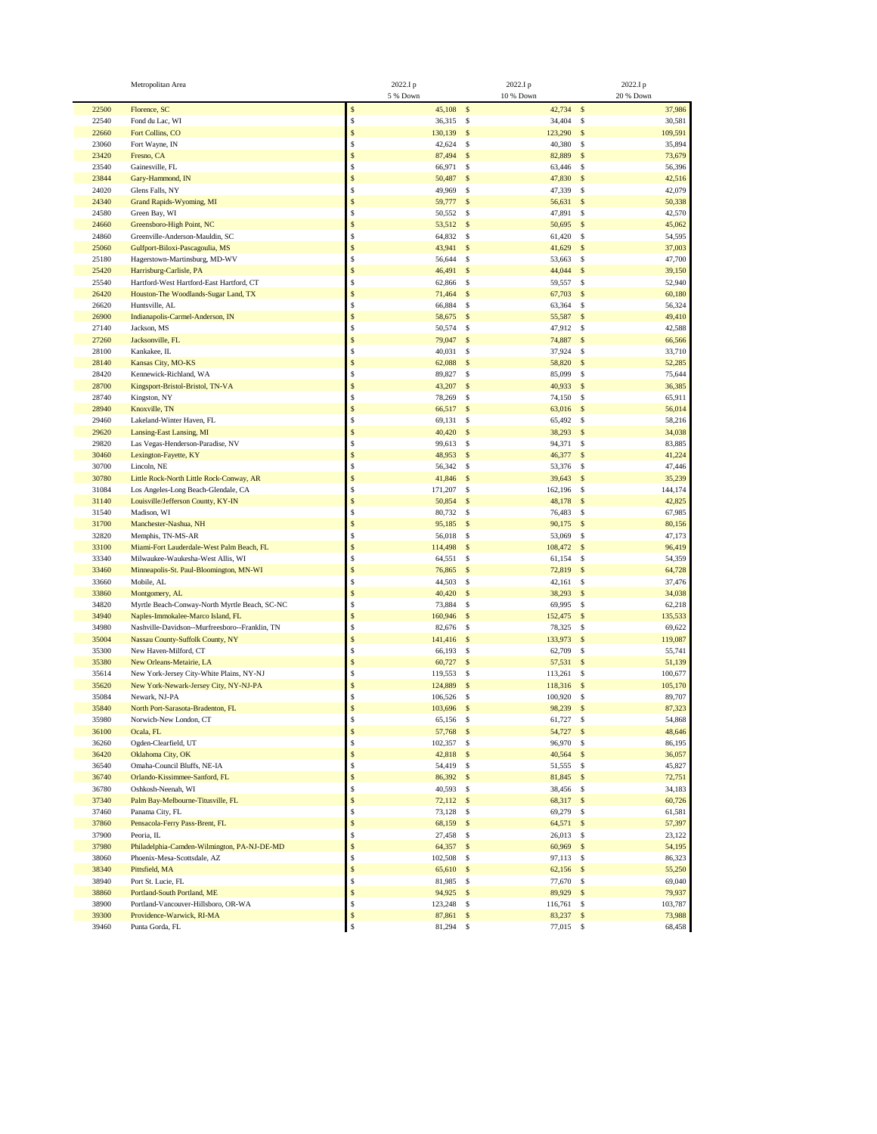|       | Metropolitan Area                              |              | 2022.Ip      | 2022.Ip      |             |               | 2022.Ip   |
|-------|------------------------------------------------|--------------|--------------|--------------|-------------|---------------|-----------|
|       |                                                |              | 5 % Down     | 10 % Down    |             |               | 20 % Down |
| 22500 | Florence, SC                                   | \$           | $45,108$ \$  |              | 42,734 \$   |               | 37,986    |
| 22540 | Fond du Lac, WI                                | \$           | 36,315 \$    |              | 34,404 \$   |               | 30,581    |
| 22660 | Fort Collins, CO                               | \$           | 130,139      | $\mathbb{S}$ | 123,290     | $\mathbf{s}$  | 109,591   |
| 23060 | Fort Wayne, IN                                 | \$           | 42,624       | \$           | 40,380      | <sup>\$</sup> | 35,894    |
| 23420 | Fresno, CA                                     | \$           | 87,494 \$    |              | 82,889      | $\mathbf{s}$  | 73,679    |
| 23540 | Gainesville, FL                                | \$           | 66,971       | \$           | 63,446      | $\mathbf{s}$  | 56,396    |
| 23844 | Gary-Hammond, IN                               | \$           | 50,487       | \$           | 47,830      | $\mathbf{s}$  | 42,516    |
| 24020 | Glens Falls, NY                                | \$           | 49,969 \$    |              | 47,339      | $\mathbf{s}$  | 42,079    |
|       |                                                | \$           |              |              |             |               |           |
| 24340 | Grand Rapids-Wyoming, MI                       | \$           | 59,777 \$    |              | 56,631      | $\mathbf{s}$  | 50,338    |
| 24580 | Green Bay, WI                                  |              | 50,552       | $\mathbf{s}$ | 47,891      | \$            | 42,570    |
| 24660 | Greensboro-High Point, NC                      | \$           | 53,512 \$    |              | 50,695 \$   |               | 45,062    |
| 24860 | Greenville-Anderson-Mauldin, SC                | \$           | 64,832 \$    |              | 61,420      | <sup>\$</sup> | 54,595    |
| 25060 | Gulfport-Biloxi-Pascagoulia, MS                | \$           | 43,941 \$    |              | 41,629      | $\mathbf{s}$  | 37,003    |
| 25180 | Hagerstown-Martinsburg, MD-WV                  | \$           | 56,644       | \$           | 53,663 \$   |               | 47,700    |
| 25420 | Harrisburg-Carlisle, PA                        | \$           | 46,491       | \$           | 44,044 \$   |               | 39,150    |
| 25540 | Hartford-West Hartford-East Hartford, CT       | \$           | 62,866       | \$           | 59,557      | $\mathbf{s}$  | 52,940    |
| 26420 | Houston-The Woodlands-Sugar Land, TX           | \$           | 71,464       | \$           | 67,703 \$   |               | 60,180    |
| 26620 | Huntsville, AL                                 | \$           | 66,884       | \$           | 63,364      | -S            | 56,324    |
| 26900 | Indianapolis-Carmel-Anderson, IN               | \$           | 58,675       | $\mathbb{S}$ | 55,587 \$   |               | 49,410    |
| 27140 | Jackson, MS                                    | \$           | 50,574 \$    |              | 47,912 \$   |               | 42,588    |
| 27260 | Jacksonville, FL                               | \$           | 79,047 \$    |              | 74,887 \$   |               | 66,566    |
| 28100 | Kankakee, IL                                   | \$           | 40,031       | \$           | 37,924      | -S            | 33,710    |
| 28140 | Kansas City, MO-KS                             | \$           | 62,088       | $\mathbb{S}$ | 58,820 \$   |               | 52,285    |
| 28420 | Kennewick-Richland, WA                         | \$           | 89,827       | \$           | 85,099 \$   |               | 75,644    |
| 28700 | Kingsport-Bristol-Bristol, TN-VA               | \$           | 43,207       | $\mathbb{S}$ | 40,933 \$   |               | 36,385    |
| 28740 | Kingston, NY                                   | \$           | 78,269       | - S          | 74,150 \$   |               | 65,911    |
| 28940 | Knoxville, TN                                  | \$           | 66,517 \$    |              | 63,016 \$   |               | 56,014    |
| 29460 |                                                | \$           | 69,131       | \$           | 65,492      | $\mathbf{s}$  | 58,216    |
|       | Lakeland-Winter Haven, FL                      |              |              |              |             |               |           |
| 29620 | Lansing-East Lansing, MI                       | \$           | 40,420       | $\mathbb{S}$ | 38,293 \$   |               | 34,038    |
| 29820 | Las Vegas-Henderson-Paradise, NV               | \$           | 99,613 \$    |              | 94,371 \$   |               | 83,885    |
| 30460 | Lexington-Fayette, KY                          | \$           | 48,953 \$    |              | 46,377      | $\sqrt{5}$    | 41,224    |
| 30700 | Lincoln, NE                                    | \$           | 56,342 \$    |              | 53,376 \$   |               | 47,446    |
| 30780 | Little Rock-North Little Rock-Conway, AR       | \$           | 41,846 \$    |              | 39,643 \$   |               | 35,239    |
| 31084 | Los Angeles-Long Beach-Glendale, CA            | \$           | 171,207      | \$           | 162,196     | \$            | 144,174   |
| 31140 | Louisville/Jefferson County, KY-IN             | \$           | 50,854       | \$           | 48,178      | $\mathbf{s}$  | 42,825    |
| 31540 | Madison, WI                                    | \$           | 80,732 \$    |              | 76,483      | $\mathbf{s}$  | 67,985    |
| 31700 | Manchester-Nashua, NH                          | \$           | 95,185       | $\mathbb{S}$ | 90,175 \$   |               | 80,156    |
| 32820 | Memphis, TN-MS-AR                              | \$           | 56,018 \$    |              | 53,069      | $\mathcal{S}$ | 47,173    |
| 33100 | Miami-Fort Lauderdale-West Palm Beach, FL      | \$           | 114,498 \$   |              | 108,472 \$  |               | 96,419    |
| 33340 | Milwaukee-Waukesha-West Allis, WI              | \$           | 64,551       | \$           | 61,154      | -S            | 54,359    |
| 33460 | Minneapolis-St. Paul-Bloomington, MN-WI        | \$           | 76,865       | $\mathbb{S}$ | 72,819      | $\mathbf{s}$  | 64,728    |
| 33660 | Mobile, AL                                     | \$           | 44,503 \$    |              | 42,161      | $\mathcal{S}$ | 37,476    |
| 33860 | Montgomery, AL                                 | \$           | 40,420 \$    |              | 38,293 \$   |               | 34,038    |
| 34820 | Myrtle Beach-Conway-North Myrtle Beach, SC-NC  | \$           | 73,884       | \$           | 69,995      | $\sim$        | 62,218    |
| 34940 | Naples-Immokalee-Marco Island, FL              | \$           | $160,946$ \$ |              | 152,475 \$  |               | 135,533   |
| 34980 | Nashville-Davidson--Murfreesboro--Franklin, TN | \$           | 82,676       | $\mathbf{s}$ | 78,325 \$   |               | 69,622    |
| 35004 | Nassau County-Suffolk County, NY               | \$           | 141,416 \$   |              | 133,973 \$  |               | 119,087   |
| 35300 | New Haven-Milford, CT                          | \$           | 66,193       | - S          | 62,709      | \$            | 55,741    |
|       | New Orleans-Metairie, LA                       | \$           |              |              |             |               |           |
| 35380 |                                                | \$           | 60,727 \$    |              | 57,531 \$   |               | 51,139    |
| 35614 | New York-Jersey City-White Plains, NY-NJ       |              | 119,553      | \$           | 113,261     | \$            | 100,677   |
| 35620 | New York-Newark-Jersey City, NY-NJ-PA          | \$           | 124,889      | \$           | 118,316 \$  |               | 105,170   |
| 35084 | Newark, NJ-PA                                  | \$           | 106,526      | \$           | 100,920 \$  |               | 89,707    |
| 35840 | North Port-Sarasota-Bradenton, FL              | \$           | 103,696 \$   |              | 98,239      | $\mathbf{s}$  | 87,323    |
| 35980 | Norwich-New London, CT                         |              | 65,156 \$    |              | 61,727 \$   |               | 54,868    |
| 36100 | Ocala, FL                                      | \$           | 57,768 \$    |              | 54,727 \$   |               | 48,646    |
| 36260 | Ogden-Clearfield, UT                           | \$           | 102,357 \$   |              | 96,970 \$   |               | 86,195    |
| 36420 | Oklahoma City, OK                              | \$           | 42,818 \$    |              | 40,564 \$   |               | 36,057    |
| 36540 | Omaha-Council Bluffs, NE-IA                    | \$           | 54,419 \$    |              | 51,555 \$   |               | 45,827    |
| 36740 | Orlando-Kissimmee-Sanford, FL                  | \$           | 86,392 \$    |              | 81,845 \$   |               | 72,751    |
| 36780 | Oshkosh-Neenah, WI                             | \$           | 40,593 \$    |              | 38,456 \$   |               | 34,183    |
| 37340 | Palm Bay-Melbourne-Titusville, FL              | \$           | $72,112$ \$  |              | 68,317 \$   |               | 60,726    |
| 37460 | Panama City, FL                                | \$           | 73,128 \$    |              | 69,279 \$   |               | 61,581    |
| 37860 | Pensacola-Ferry Pass-Brent, FL                 | \$           | 68,159 \$    |              | 64,571 \$   |               | 57,397    |
| 37900 | Peoria, IL                                     | \$           | 27,458 \$    |              | 26,013 \$   |               | 23,122    |
| 37980 | Philadelphia-Camden-Wilmington, PA-NJ-DE-MD    | \$           | 64,357 \$    |              | 60,969 \$   |               | 54,195    |
| 38060 | Phoenix-Mesa-Scottsdale, AZ                    | \$           | 102,508 \$   |              | 97,113 \$   |               | 86,323    |
| 38340 | Pittsfield, MA                                 | \$           | 65,610 \$    |              | $62,156$ \$ |               | 55,250    |
| 38940 | Port St. Lucie, FL                             | \$           | 81,985 \$    |              | 77,670 \$   |               | 69,040    |
| 38860 | Portland-South Portland, ME                    | \$           |              |              | 89,929 \$   |               | 79,937    |
|       |                                                |              | 94,925 \$    |              |             |               |           |
| 38900 | Portland-Vancouver-Hillsboro, OR-WA            | \$           | 123,248 \$   |              | 116,761 \$  |               | 103,787   |
| 39300 | Providence-Warwick, RI-MA                      | \$           | 87,861 \$    |              | 83,237 \$   |               | 73,988    |
| 39460 | Punta Gorda, FL                                | $\mathbb{S}$ | 81,294 \$    |              | 77,015 \$   |               | 68,458    |